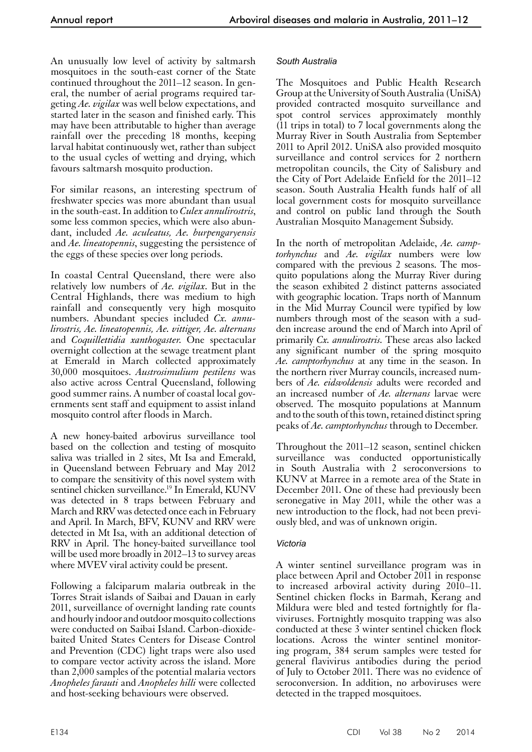An unusually low level of activity by saltmarsh mosquitoes in the south-east corner of the State continued throughout the 2011–12 season. In general, the number of aerial programs required targeting *Ae. vigilax* was well below expectations, and started later in the season and finished early. This may have been attributable to higher than average rainfall over the preceding 18 months, keeping larval habitat continuously wet, rather than subject to the usual cycles of wetting and drying, which favours saltmarsh mosquito production.

For similar reasons, an interesting spectrum of freshwater species was more abundant than usual in the south-east. In addition to *Culex annulirostris*, some less common species, which were also abundant, included *Ae. aculeatus, Ae. burpengaryensis* and *Ae. lineatopennis*, suggesting the persistence of the eggs of these species over long periods.

In coastal Central Queensland, there were also relatively low numbers of *Ae. vigilax*. But in the Central Highlands, there was medium to high rainfall and consequently very high mosquito numbers. Abundant species included *Cx. annulirostris, Ae. lineatopennis, Ae. vittiger, Ae. alternans* and *Coquillettidia xanthogaster*. One spectacular overnight collection at the sewage treatment plant at Emerald in March collected approximately 30,000 mosquitoes. *Austrosimulium pestilens* was also active across Central Queensland, following good summer rains. A number of coastal local governments sent staff and equipment to assist inland mosquito control after floods in March.

A new honey-baited arbovirus surveillance tool based on the collection and testing of mosquito saliva was trialled in 2 sites, Mt Isa and Emerald, in Queensland between February and May 2012 to compare the sensitivity of this novel system with sentinel chicken surveillance.<sup>19</sup> In Emerald, KUNV was detected in 8 traps between February and March and RRV was detected once each in February and April. In March, BFV, KUNV and RRV were detected in Mt Isa, with an additional detection of RRV in April. The honey-baited surveillance tool will be used more broadly in 2012–13 to survey areas where MVEV viral activity could be present.

Following a falciparum malaria outbreak in the Torres Strait islands of Saibai and Dauan in early 2011, surveillance of overnight landing rate counts and hourly indoor and outdoor mosquito collections were conducted on Saibai Island. Carbon-dioxidebaited United States Centers for Disease Control and Prevention (CDC) light traps were also used to compare vector activity across the island. More than 2,000 samples of the potential malaria vectors *Anopheles farauti* and *Anopheles hilli* were collected and host-seeking behaviours were observed.

## *South Australia*

The Mosquitoes and Public Health Research Group at the University of South Australia (UniSA) provided contracted mosquito surveillance and spot control services approximately monthly (11 trips in total) to 7 local governments along the Murray River in South Australia from September 2011 to April 2012. UniSA also provided mosquito surveillance and control services for 2 northern metropolitan councils, the City of Salisbury and the City of Port Adelaide Enfield for the 2011–12 season. South Australia Health funds half of all local government costs for mosquito surveillance and control on public land through the South Australian Mosquito Management Subsidy.

In the north of metropolitan Adelaide, *Ae. camptorhynchus* and *Ae. vigilax* numbers were low compared with the previous 2 seasons. The mosquito populations along the Murray River during the season exhibited 2 distinct patterns associated with geographic location. Traps north of Mannum in the Mid Murray Council were typified by low numbers through most of the season with a sudden increase around the end of March into April of primarily *Cx. annulirostris*. These areas also lacked any significant number of the spring mosquito *Ae. camptorhynchus* at any time in the season. In the northern river Murray councils, increased numbers of *Ae. eidsvoldensis* adults were recorded and an increased number of *Ae. alternans* larvae were observed. The mosquito populations at Mannum and to the south of this town, retained distinct spring peaks of *Ae. camptorhynchus* through to December.

Throughout the 2011–12 season, sentinel chicken surveillance was conducted opportunistically in South Australia with 2 seroconversions to KUNV at Marree in a remote area of the State in December 2011. One of these had previously been seronegative in May 2011, while the other was a new introduction to the flock, had not been previ- ously bled, and was of unknown origin.

## *Victoria*

A winter sentinel surveillance program was in place between April and October 2011 in response to increased arboviral activity during 2010–11. Sentinel chicken flocks in Barmah, Kerang and Mildura were bled and tested fortnightly for fla- viviruses. Fortnightly mosquito trapping was also conducted at these 3 winter sentinel chicken flock locations. Across the winter sentinel monitoring program, 384 serum samples were tested for general flavivirus antibodies during the period of July to October 2011. There was no evidence of seroconversion. In addition, no arboviruses were detected in the trapped mosquitoes.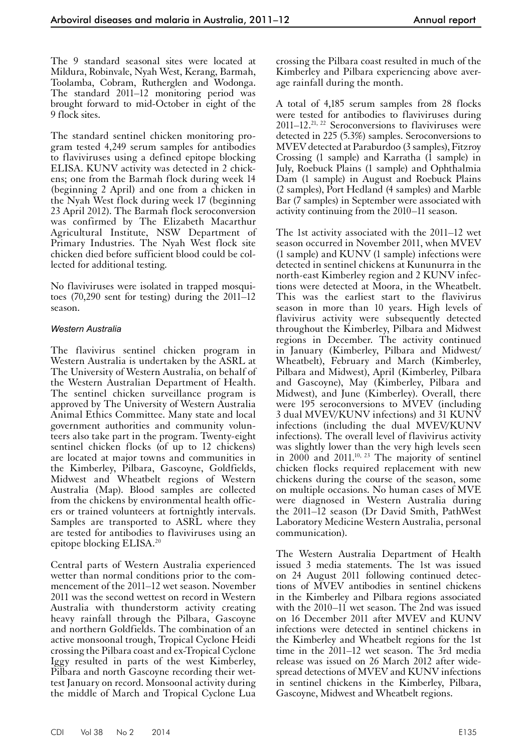The 9 standard seasonal sites were located at Mildura, Robinvale, Nyah West, Kerang, Barmah, Toolamba, Cobram, Rutherglen and Wodonga. The standard 2011–12 monitoring period was brought forward to mid-October in eight of the 9 flock sites.

The standard sentinel chicken monitoring program tested 4,249 serum samples for antibodies to flaviviruses using a defined epitope blocking ELISA. KUNV activity was detected in 2 chickens; one from the Barmah flock during week 14 (beginning 2 April) and one from a chicken in the Nyah West flock during week 17 (beginning 23 April 2012). The Barmah flock seroconversion was confirmed by The Elizabeth Macarthur Agricultural Institute, NSW Department of Primary Industries. The Nyah West flock site chicken died before sufficient blood could be collected for additional testing.

No flaviviruses were isolated in trapped mosquitoes (70,290 sent for testing) during the 2011–12 season.

#### *Western Australia*

The flavivirus sentinel chicken program in Western Australia is undertaken by the ASRL at The University of Western Australia, on behalf of the Western Australian Department of Health. The sentinel chicken surveillance program is approved by The University of Western Australia Animal Ethics Committee. Many state and local government authorities and community volun- teers also take part in the program. Twenty-eight sentinel chicken flocks (of up to 12 chickens) are located at major towns and communities in the Kimberley, Pilbara, Gascoyne, Goldfields, Midwest and Wheatbelt regions of Western Australia (Map). Blood samples are collected from the chickens by environmental health offic- ers or trained volunteers at fortnightly intervals. Samples are transported to ASRL where they are tested for antibodies to flaviviruses using an epitope blocking ELISA.20

Central parts of Western Australia experienced wetter than normal conditions prior to the commencement of the 2011–12 wet season. November 2011 was the second wettest on record in Western Australia with thunderstorm activity creating heavy rainfall through the Pilbara, Gascoyne and northern Goldfields. The combination of an active monsoonal trough, Tropical Cyclone Heidi crossing the Pilbara coast and ex-Tropical Cyclone Iggy resulted in parts of the west Kimberley, Pilbara and north Gascoyne recording their wettest January on record. Monsoonal activity during the middle of March and Tropical Cyclone Lua

crossing the Pilbara coast resulted in much of the Kimberley and Pilbara experiencing above average rainfall during the month.

A total of 4,185 serum samples from 28 flocks were tested for antibodies to flaviviruses during  $2011-12$ <sup>21, 22</sup> Seroconversions to flaviviruses were detected in 225 (5.3%) samples. Seroconversions to MVEV detected at Paraburdoo (3 samples), Fitzroy Crossing (1 sample) and Karratha (1 sample) in July, Roebuck Plains (1 sample) and Ophthalmia Dam (1 sample) in August and Roebuck Plains (2 samples), Port Hedland (4 samples) and Marble Bar (7 samples) in September were associated with activity continuing from the 2010–11 season.

The 1st activity associated with the 2011–12 wet season occurred in November 2011, when MVEV (1 sample) and KUNV (1 sample) infections were detected in sentinel chickens at Kununurra in the north-east Kimberley region and 2 KUNV infections were detected at Moora, in the Wheatbelt. This was the earliest start to the flavivirus season in more than 10 years. High levels of flavivirus activity were subsequently detected throughout the Kimberley, Pilbara and Midwest regions in December. The activity continued in January (Kimberley, Pilbara and Midwest/ Wheatbelt), February and March (Kimberley, Pilbara and Midwest), April (Kimberley, Pilbara and Gascoyne), May (Kimberley, Pilbara and Midwest), and June (Kimberley). Overall, there were 195 seroconversions to MVEV (including 3 dual MVEV/KUNV infections) and 31 KUNV infections (including the dual MVEV/KUNV infections). The overall level of flavivirus activity was slightly lower than the very high levels seen in  $2000$  and  $2011$ <sup>10, 23</sup> The majority of sentinel chicken flocks required replacement with new chickens during the course of the season, some on multiple occasions. No human cases of MVE were diagnosed in Western Australia during the 2011–12 season (Dr David Smith, PathWest Laboratory Medicine Western Australia, personal communication).

The Western Australia Department of Health issued 3 media statements. The 1st was issued on 24 August 2011 following continued detections of MVEV antibodies in sentinel chickens in the Kimberley and Pilbara regions associated with the 2010–11 wet season. The 2nd was issued on 16 December 2011 after MVEV and KUNV infections were detected in sentinel chickens in the Kimberley and Wheatbelt regions for the 1st time in the 2011–12 wet season. The 3rd media release was issued on 26 March 2012 after widespread detections of MVEV and KUNV infections in sentinel chickens in the Kimberley, Pilbara, Gascoyne, Midwest and Wheatbelt regions.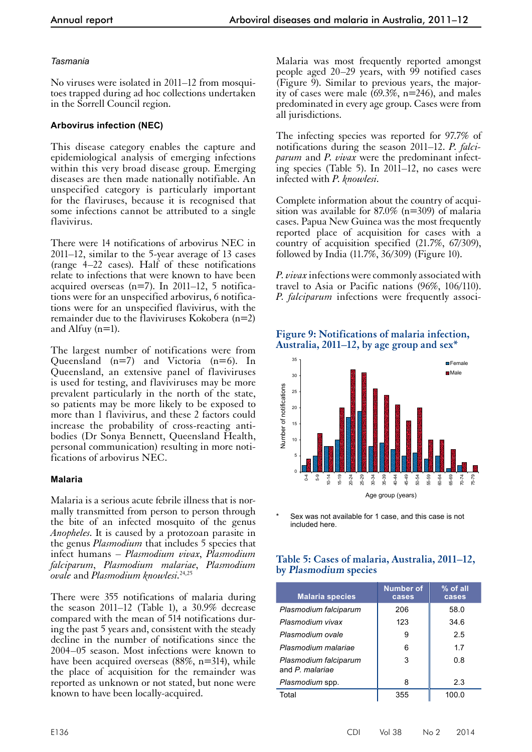### *Tasmania*

No viruses were isolated in 2011–12 from mosquitoes trapped during ad hoc collections undertaken in the Sorrell Council region.

### **Arbovirus infection (NEC)**

This disease category enables the capture and epidemiological analysis of emerging infections within this very broad disease group. Emerging diseases are then made nationally notifiable. An unspecified category is particularly important for the flaviruses, because it is recognised that some infections cannot be attributed to a single flavivirus.

There were 14 notifications of arbovirus NEC in 2011–12, similar to the 5-year average of 13 cases (range 4–22 cases). Half of these notifications relate to infections that were known to have been acquired overseas (n=7). In 2011–12, 5 notifications were for an unspecified arbovirus, 6 notifications were for an unspecified flavivirus, with the remainder due to the flaviviruses Kokobera  $(n=2)$ and Alfuy (n=1).

The largest number of notifications were from Queensland (n=7) and Victoria (n=6). In Queensland, an extensive panel of flaviviruses is used for testing, and flaviviruses may be more prevalent particularly in the north of the state, so patients may be more likely to be exposed to more than 1 flavivirus, and these 2 factors could increase the probability of cross-reacting anti- bodies (Dr Sonya Bennett, Queensland Health, personal communication) resulting in more noti- fications of arbovirus NEC.

## **Malaria**

Malaria is a serious acute febrile illness that is nor- mally transmitted from person to person through the bite of an infected mosquito of the genus *Anopheles*. It is caused by a protozoan parasite in the genus *Plasmodium* that includes 5 species that infect humans – *Plasmodium vivax*, *Plasmodium falciparum*, *Plasmodium malariae*, *Plasmodium ovale* and *Plasmodium knowlesi.*24,25

There were 355 notifications of malaria during the season 2011–12 (Table 1), a 30.9% decrease compared with the mean of 514 notifications during the past 5 years and, consistent with the steady decline in the number of notifications since the 2004–05 season. Most infections were known to have been acquired overseas (88%, n=314), while the place of acquisition for the remainder was reported as unknown or not stated, but none were known to have been locally-acquired.

Malaria was most frequently reported amongst people aged 20–29 years, with 99 notified cases (Figure  $\overline{9}$ ). Similar to previous years, the majority of cases were male (69.3%, n=246), and males predominated in every age group. Cases were from all jurisdictions.

The infecting species was reported for 97.7% of notifications during the season 2011–12. *P. falciparum* and *P. vivax* were the predominant infecting species (Table 5). In 2011–12, no cases were infected with *P. knowlesi*.

Complete information about the country of acquisition was available for  $87.0\%$  (n=309) of malaria cases. Papua New Guinea was the most frequently reported place of acquisition for cases with a country of acquisition specified (21.7%, 67/309), followed by India (11.7%, 36/309) (Figure 10).

*P. vivax* infections were commonly associated with travel to Asia or Pacific nations (96%, 106/110). *P. falciparum* infections were frequently associ-





Sex was not available for 1 case, and this case is not included here.

## **Table 5: Cases of malaria, Australia, 2011–12, by Plasmodium species**

| <b>Malaria species</b>                   | <b>Number of</b><br>cases | $%$ of all<br>cases |
|------------------------------------------|---------------------------|---------------------|
| Plasmodium falciparum                    | 206                       | 58.0                |
| Plasmodium vivax                         | 123                       | 34.6                |
| Plasmodium ovale                         | 9                         | 2.5                 |
| Plasmodium malariae                      | 6                         | 1.7                 |
| Plasmodium falciparum<br>and P. malariae | 3                         | 0.8                 |
| Plasmodium spp.                          | 8                         | 2.3                 |
| Total                                    | 355                       | 100.0               |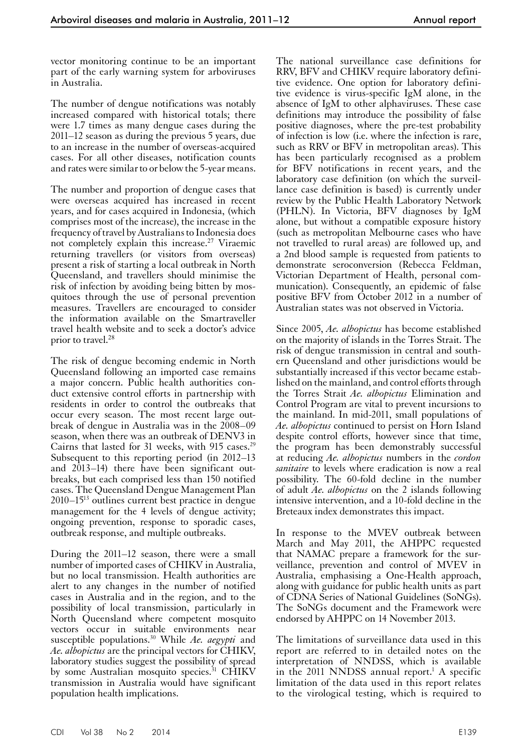vector monitoring continue to be an important part of the early warning system for arboviruses in Australia.

The number of dengue notifications was notably increased compared with historical totals; there were 1.7 times as many dengue cases during the 2011–12 season as during the previous 5 years, due to an increase in the number of overseas-acquired cases. For all other diseases, notification counts and rates were similar to or below the 5-year means.

The number and proportion of dengue cases that were overseas acquired has increased in recent years, and for cases acquired in Indonesia, (which comprises most of the increase), the increase in the frequency of travel by Australians to Indonesia does not completely explain this increase.27 Viraemic returning travellers (or visitors from overseas) present a risk of starting a local outbreak in North Queensland, and travellers should minimise the risk of infection by avoiding being bitten by mosquitoes through the use of personal prevention measures. Travellers are encouraged to consider the information available on the Smartraveller travel health website and to seek a doctor's advice prior to travel.<sup>28</sup>

The risk of dengue becoming endemic in North Queensland following an imported case remains a major concern. Public health authorities conduct extensive control efforts in partnership with residents in order to control the outbreaks that occur every season. The most recent large out-<br>break of dengue in Australia was in the 2008–09 season, when there was an outbreak of DENV3 in Cairns that lasted for 31 weeks, with 915 cases.<sup>29</sup> Subsequent to this reporting period (in 2012–13 and 2013–14) there have been significant out- breaks, but each comprised less than 150 notified cases. The Queensland Dengue Management Plan  $2010-15^{13}$  outlines current best practice in dengue management for the 4 levels of dengue activity; ongoing prevention, response to sporadic cases, outbreak response, and multiple outbreaks.

During the 2011–12 season, there were a small number of imported cases of CHIKV in Australia, but no local transmission. Health authorities are alert to any changes in the number of notified cases in Australia and in the region, and to the possibility of local transmission, particularly in North Queensland where competent mosquito vectors occur in suitable environments near susceptible populations.30 While *Ae. aegypti* and *Ae. albopictus* are the principal vectors for CHIKV, laboratory studies suggest the possibility of spread by some Australian mosquito species.<sup>31</sup> CHIKV transmission in Australia would have significant population health implications.

The national surveillance case definitions for RRV, BFV and CHIKV require laboratory definitive evidence. One option for laboratory definitive evidence is virus-specific IgM alone, in the absence of IgM to other alphaviruses. These case definitions may introduce the possibility of false positive diagnoses, where the pre-test probability of infection is low (i.e. where the infection is rare, such as RRV or BFV in metropolitan areas). This has been particularly recognised as a problem for BFV notifications in recent years, and the laboratory case definition (on which the surveillance case definition is based) is currently under review by the Public Health Laboratory Network (PHLN). In Victoria, BFV diagnoses by IgM alone, but without a compatible exposure history (such as metropolitan Melbourne cases who have not travelled to rural areas) are followed up, and a 2nd blood sample is requested from patients to demonstrate seroconversion (Rebecca Feldman, Victorian Department of Health, personal communication). Consequently, an epidemic of false positive BFV from October 2012 in a number of Australian states was not observed in Victoria.

Since 2005, *Ae. albopictus* has become established on the majority of islands in the Torres Strait. The risk of dengue transmission in central and southern Queensland and other jurisdictions would be substantially increased if this vector became established on the mainland, and control efforts through the Torres Strait *Ae. albopictus* Elimination and Control Program are vital to prevent incursions to the mainland. In mid-2011, small populations of *Ae. albopictus* continued to persist on Horn Island despite control efforts, however since that time, the program has been demonstrably successful at reducing *Ae. albopictus* numbers in the *cordon sanitaire* to levels where eradication is now a real possibility. The 60-fold decline in the number of adult *Ae. albopictus* on the 2 islands following intensive intervention, and a 10-fold decline in the Breteaux index demonstrates this impact.

In response to the MVEV outbreak between March and May 2011, the AHPPC requested that NAMAC prepare a framework for the surveillance, prevention and control of MVEV in Australia, emphasising a One-Health approach, along with guidance for public health units as part of CDNA Series of National Guidelines (SoNGs). The SoNGs document and the Framework were endorsed by AHPPC on 14 November 2013.

The limitations of surveillance data used in this report are referred to in detailed notes on the interpretation of NNDSS, which is available in the 2011 NNDSS annual report.<sup>1</sup> A specific limitation of the data used in this report relates to the virological testing, which is required to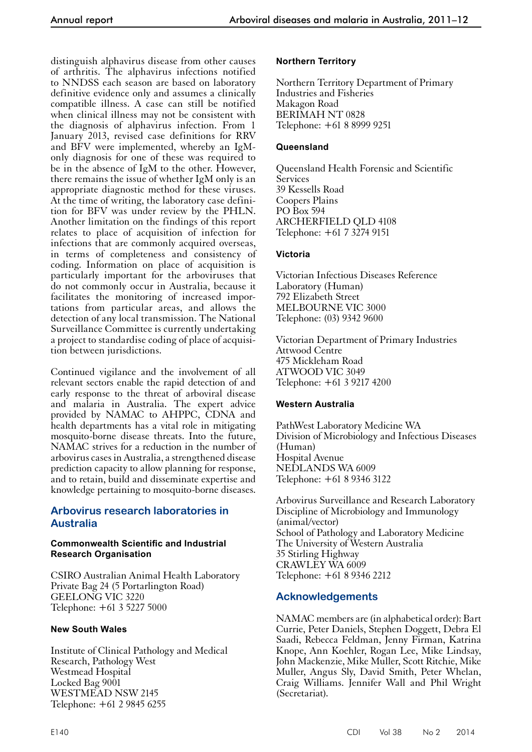distinguish alphavirus disease from other causes of arthritis. The alphavirus infections notified to NNDSS each season are based on laboratory definitive evidence only and assumes a clinically compatible illness. A case can still be notified when clinical illness may not be consistent with the diagnosis of alphavirus infection. From 1 January 2013, revised case definitions for RRV and BFV were implemented, whereby an IgMonly diagnosis for one of these was required to be in the absence of IgM to the other. However, there remains the issue of whether IgM only is an appropriate diagnostic method for these viruses. At the time of writing, the laboratory case definition for BFV was under review by the PHLN. Another limitation on the findings of this report relates to place of acquisition of infection for infections that are commonly acquired overseas, in terms of completeness and consistency of coding. Information on place of acquisition is particularly important for the arboviruses that do not commonly occur in Australia, because it facilitates the monitoring of increased importations from particular areas, and allows the detection of any local transmission. The National Surveillance Committee is currently undertaking a project to standardise coding of place of acquisition between jurisdictions.

Continued vigilance and the involvement of all relevant sectors enable the rapid detection of and early response to the threat of arboviral disease and malaria in Australia. The expert advice provided by NAMAC to AHPPC, CDNA and health departments has a vital role in mitigating mosquito-borne disease threats. Into the future, NAMAC strives for a reduction in the number of arbovirus cases in Australia, a strengthened disease prediction capacity to allow planning for response, and to retain, build and disseminate expertise and knowledge pertaining to mosquito-borne diseases.

# **Arbovirus research laboratories in Australia**

### **Commonwealth Scientific and Industrial Research Organisation**

CSIRO Australian Animal Health Laboratory Private Bag 24 (5 Portarlington Road) GEELONG VIC 3220 Telephone: +61 3 5227 5000

## **New South Wales**

Institute of Clinical Pathology and Medical Research, Pathology West Westmead Hospital Locked Bag 9001 WESTMEAD NSW 2145 Telephone: +61 2 9845 6255

## **Northern Territory**

Northern Territory Department of Primary Industries and Fisheries Makagon Road BERIMAH NT 0828 Telephone: +61 8 8999 9251

## **Queensland**

Queensland Health Forensic and Scientific Services 39 Kessells Road Coopers Plains PO Box 594 ARCHERFIELD QLD 4108 Telephone: +61 7 3274 9151

## **Victoria**

Victorian Infectious Diseases Reference Laboratory (Human) 792 Elizabeth Street MELBOURNE VIC 3000 Telephone: (03) 9342 9600

Victorian Department of Primary Industries Attwood Centre 475 Mickleham Road ATWOOD VIC 3049 Telephone: +61 3 9217 4200

## **Western Australia**

PathWest Laboratory Medicine WA Division of Microbiology and Infectious Diseases (Human) Hospital Avenue NEDLANDS WA 6009 Telephone: +61 8 9346 3122

Arbovirus Surveillance and Research Laboratory Discipline of Microbiology and Immunology (animal/vector) School of Pathology and Laboratory Medicine The University of Western Australia 35 Stirling Highway CRAWLEY WA 6009 Telephone: +61 8 9346 2212

## **Acknowledgements**

NAMAC members are (in alphabetical order): Bart Currie, Peter Daniels, Stephen Doggett, Debra El Saadi, Rebecca Feldman, Jenny Firman, Katrina Knope, Ann Koehler, Rogan Lee, Mike Lindsay, John Mackenzie, Mike Muller, Scott Ritchie, Mike Muller, Angus Sly, David Smith, Peter Whelan, Craig Williams. Jennifer Wall and Phil Wright (Secretariat).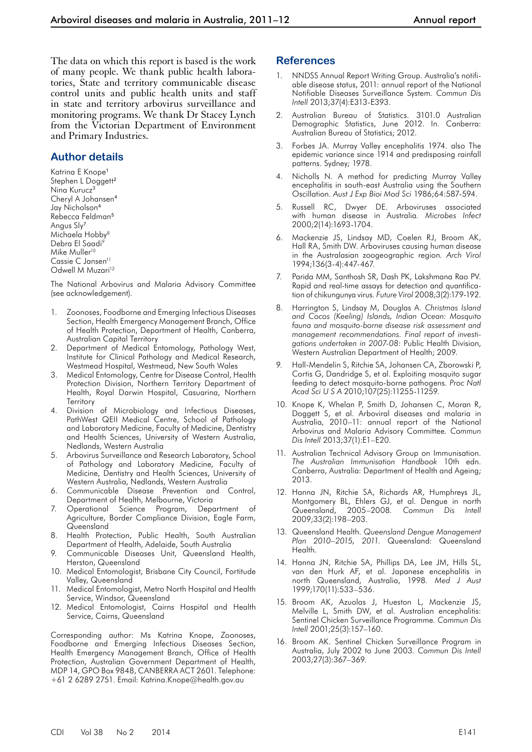The data on which this report is based is the work of many people. We thank public health laboratories, State and territory communicable disease control units and public health units and staff in state and territory arbovirus surveillance and monitoring programs. We thank Dr Stacey Lynch from the Victorian Department of Environment and Primary Industries.

#### **Author details**

Katrina E Knope<sup>1</sup> Stephen L Doggett<sup>2</sup> Nina Kurucz<sup>3</sup> Cheryl A Johansen<sup>4</sup> Jay Nicholson<sup>4</sup> Rebecca Feldman<sup>5</sup> Angus Sly<sup>7</sup> Michaela Hobby<sup>8</sup> Debra El Saadi9 Mike Muller<sup>10</sup> Cassie C Jansen<sup>11</sup> Odwell M Muzari<sup>12</sup>

The National Arbovirus and Malaria Advisory Committee (see acknowledgement).

- 1. Zoonoses, Foodborne and Emerging Infectious Diseases Section, Health Emergency Management Branch, Office of Health Protection, Department of Health, Canberra, Australian Capital Territory
- Department of Medical Entomology, Pathology West, Institute for Clinical Pathology and Medical Research, Westmead Hospital, Westmead, New South Wales
- Medical Entomology, Centre for Disease Control, Health Protection Division, Northern Territory Department of Health, Royal Darwin Hospital, Casuarina, Northern **Territory**
- 4. Division of Microbiology and Infectious Diseases, PathWest QEII Medical Centre, School of Pathology and Laboratory Medicine, Faculty of Medicine, Dentistry and Health Sciences, University of Western Australia, Nedlands, Western Australia
- 5. Arbovirus Surveillance and Research Laboratory, School of Pathology and Laboratory Medicine, Faculty of Medicine, Dentistry and Health Sciences, University of Western Australia, Nedlands, Western Australia
- 6. Communicable Disease Prevention and Control, Department of Health, Melbourne, Victoria
- 7. Operational Science Program, Department of Agriculture, Border Compliance Division, Eagle Farm, Queensland
- 8. Health Protection, Public Health, South Australian Department of Health, Adelaide, South Australia
- 9. Communicable Diseases Unit, Queensland Health, Herston, Queensland
- 10. Medical Entomologist, Brisbane City Council, Fortitude Valley, Queensland
- 11. Medical Entomologist, Metro North Hospital and Health Service, Windsor, Queensland
- 12. Medical Entomologist, Cairns Hospital and Health Service, Cairns, Queensland

Corresponding author: Ms Katrina Knope, Zoonoses, Foodborne and Emerging Infectious Diseases Section, Health Emergency Management Branch, Office of Health Protection, Australian Government Department of Health, MDP 14, GPO Box 9848, CANBERRA ACT 2601. Telephone: +61 2 6289 2751. Email: Katrina.Knope@health.gov.au

#### **References**

- 1. NNDSS Annual Report Writing Group. Australia's notifiable disease status, 2011: annual report of the National Notifiable Diseases Surveillance System*. Commun Dis Intell* 2013;37(4):E313-E393.
- 2. Australian Bureau of Statistics. 3101.0 Australian Demographic Statistics, June 2012. In. Canberra: Australian Bureau of Statistics; 2012.
- 3. Forbes JA. Murray Valley encephalitis 1974. also The epidemic variance since 1914 and predisposing rainfall patterns. Sydney; 1978.
- 4. Nicholls N. A method for predicting Murray Valley encephalitis in south-east Australia using the Southern Oscillation. *Aust J Exp Bioi Mod Sci* 1986;64:587-594.
- 5. Russell RC, Dwyer DE. Arboviruses associated with human disease in Australia*. Microbes Infect* 2000;2(14):1693-1704.
- 6. Mackenzie JS, Lindsay MD, Coelen RJ, Broom AK, Hall RA, Smith DW. Arboviruses causing human disease in the Australasian zoogeographic region*. Arch Virol* 1994;136(3-4):447-467.
- Parida MM, Santhosh SR, Dash PK, Lakshmana Rao PV. Rapid and real-time assays for detection and quantification of chikungunya virus*. Future Virol* 2008;3(2):179-192.
- 8. Harrington S, Lindsay M, Douglas A. *Christmas Island and Cocos (Keeling) Islands, Indian Ocean: Mosquito fauna and mosquito-borne disease risk assessment and management recommendations. Final report of investigations undertaken in 2007-08*: Public Health Division, Western Australian Department of Health; 2009.
- 9. Hall-Mendelin S, Ritchie SA, Johansen CA, Zborowski P, Cortis G, Dandridge S, et al. Exploiting mosquito sugar feeding to detect mosquito-borne pathogens*. Proc Natl Acad Sci U S A* 2010;107(25):11255-11259.
- 10. Knope K, Whelan P, Smith D, Johansen C, Moran R, Doggett S, et al. Arboviral diseases and malaria in Australia, 2010–11: annual report of the National Arbovirus and Malaria Advisory Committee*. Commun Dis Intell* 2013;37(1):E1–E20.
- 11. Australian Technical Advisory Group on Immunisation. *The Australian Immunisation Handbook* 10th edn. Canberra, Australia: Department of Health and Ageing; 2013.
- 12. Hanna JN, Ritchie SA, Richards AR, Humphreys JL, Montgomery BL, Ehlers GJ, et al. Dengue in north Queensland, 2005–2008*. Commun Dis Intell* 2009;33(2):198–203.
- 13. Queensland Health. *Queensland Dengue Management Plan 2010–2015, 2011*. Queensland: Queensland Health.
- 14. Hanna JN, Ritchie SA, Phillips DA, Lee JM, Hills SL, van den Hurk AF, et al. Japanese encephalitis in north Queensland, Australia, 1998*. Med J Aust* 1999;170(11):533–536.
- 15. Broom AK, Azuolas J, Hueston L, Mackenzie JS, Melville L, Smith DW, et al. Australian encephalitis: Sentinel Chicken Surveillance Programme*. Commun Dis Intell* 2001;25(3):157–160.
- 16. Broom AK. Sentinel Chicken Surveillance Program in Australia, July 2002 to June 2003*. Commun Dis Intell* 2003;27(3):367–369.